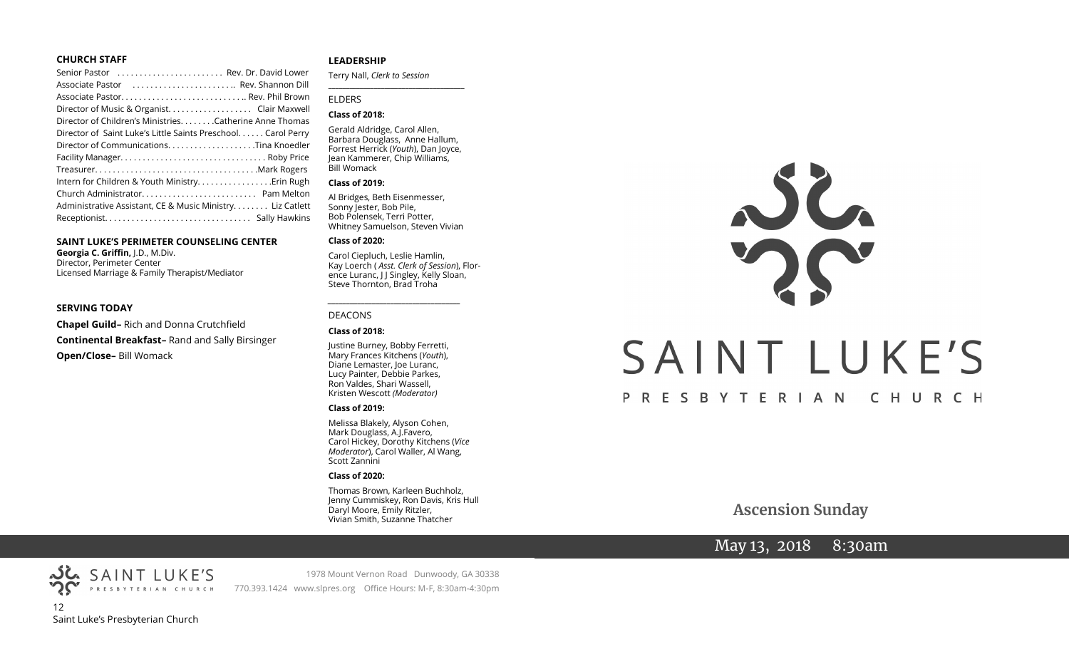#### **CHURCH STAFF**

| Senior Pastor  Rev. Dr. David Lower                           |
|---------------------------------------------------------------|
| Associate Pastor  Rev. Shannon Dill                           |
|                                                               |
| Director of Music & Organist. Clair Maxwell                   |
| Director of Children's MinistriesCatherine Anne Thomas        |
| Director of Saint Luke's Little Saints Preschool. Carol Perry |
|                                                               |
|                                                               |
|                                                               |
| Intern for Children & Youth Ministry Erin Rugh                |
|                                                               |
| Administrative Assistant, CE & Music Ministry Liz Catlett     |
|                                                               |

#### **SAINT LUKE'S PERIMETER COUNSELING CENTER**

**Georgia C. Griffin,** J.D., M.Div. Director, Perimeter Center Licensed Marriage & Family Therapist/Mediator

#### **SERVING TODAY**

**Chapel Guild–** Rich and Donna Crutchfield **Continental Breakfast–** Rand and Sally Birsinger **Open/Close–** Bill Womack

#### **LEADERSHIP**

Terry Nall, *Clerk to Session* 

#### ELDERS

#### **Class of 2018:**

Gerald Aldridge, Carol Allen, Barbara Douglass, Anne Hallum, Forrest Herrick (*Youth*), Dan Joyce, Jean Kammerer, Chip Williams, Bill Womack

**\_\_\_\_\_\_\_\_\_\_\_\_\_\_\_\_\_\_\_\_\_\_\_\_\_\_\_\_\_\_\_\_\_\_\_\_\_\_\_**

#### **Class of 2019:**

Al Bridges, Beth Eisenmesser, Sonny Jester, Bob Pile, Bob Polensek, Terri Potter, Whitney Samuelson, Steven Vivian

#### **Class of 2020:**

Carol Ciepluch, Leslie Hamlin, Kay Loerch ( *Asst. Clerk of Session*), Florence Luranc, J J Singley, Kelly Sloan, Steve Thornton, Brad Troha

*\_\_\_\_\_\_\_\_\_\_\_\_\_\_\_\_\_\_\_\_\_\_\_\_\_\_\_\_\_\_\_\_\_\_\_\_*

#### DEACONS

#### **Class of 2018:**

Justine Burney, Bobby Ferretti, Mary Frances Kitchens (*Youth*), Diane Lemaster, Joe Luranc, Lucy Painter, Debbie Parkes, Ron Valdes, Shari Wassell, Kristen Wescott *(Moderator)*

#### **Class of 2019:**

Melissa Blakely, Alyson Cohen, Mark Douglass, A.J.Favero, Carol Hickey, Dorothy Kitchens (*Vice Moderator*), Carol Waller, Al Wang, Scott Zannini

#### **Class of 2020:**

Thomas Brown, Karleen Buchholz, Jenny Cummiskey, Ron Davis, Kris Hull Daryl Moore, Emily Ritzler, Vivian Smith, Suzanne Thatcher

# $22$ SAINT LUKE'S PRESBYTERIAN CHURCH

**Ascension Sunday** 

# May 13, 2018 8:30am

PRESBYTERIAN CHURCH 12 Saint Luke's Presbyterian Church

SAINT LUKE'S

1978 Mount Vernon Road Dunwoody, GA 30338 770.393.1424 www.slpres.org Office Hours: M-F, 8:30am-4:30pm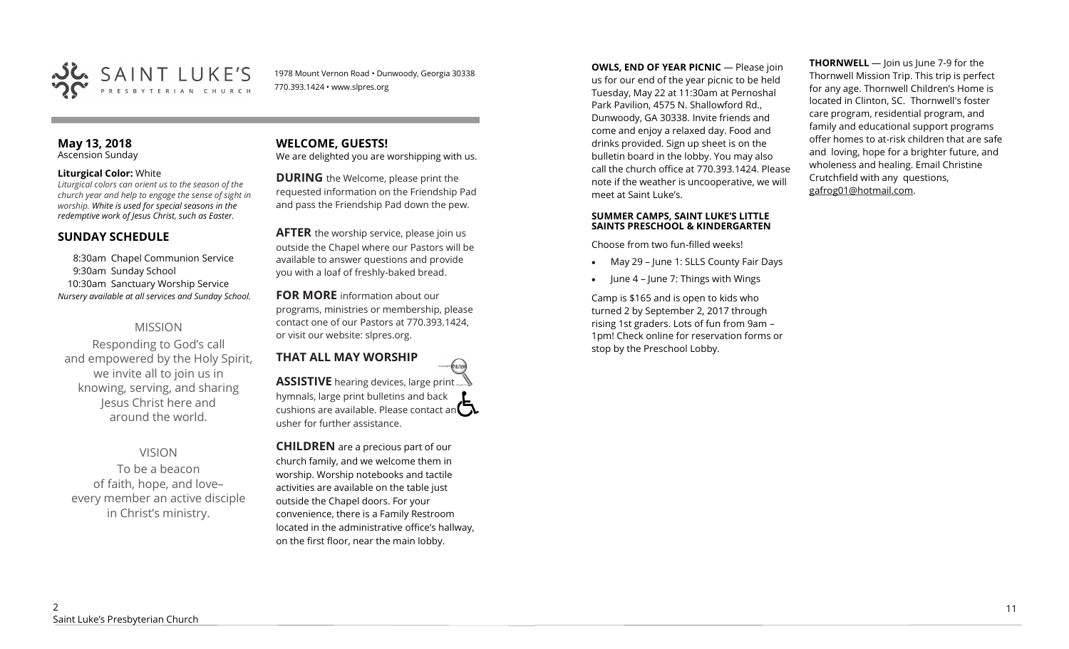

1978 Mount Vernon Road • Dunwoody, Georgia 30338 770.393.1424 • www.slpres.org

#### **May 13, 2018**  Ascension Sunday

#### **Liturgical Color:** White

*Liturgical colors can orient us to the season of the church year and help to engage the sense of sight in worship. White is used for special seasons in the redemptive work of Jesus Christ, such as Easter.* 

# **SUNDAY SCHEDULE**

8:30am Chapel Communion Service 9:30am Sunday School 10:30am Sanctuary Worship Service *Nursery available at all services and Sunday School.* 

# MISSION

Responding to God's call and empowered by the Holy Spirit, we invite all to join us in knowing, serving, and sharing Jesus Christ here and around the world.

# VISION

To be a beacon of faith, hope, and love– every member an active disciple in Christ's ministry.

# **WELCOME, GUESTS!**

We are delighted you are worshipping with us.

**DURING** the Welcome, please print the requested information on the Friendship Pad and pass the Friendship Pad down the pew.

**AFTER** the worship service, please join us outside the Chapel where our Pastors will be available to answer questions and provide you with a loaf of freshly-baked bread.

**FOR MORE** information about our programs, ministries or membership, please contact one of our Pastors at 770.393.1424, or visit our website: slpres.org.

#### **THAT ALL MAY WORSHIP** thistex **ASSISTIVE** hearing devices, large print hymnals, large print bulletins and back cushions are available. Please contact an  $\Box$

usher for further assistance.

**CHILDREN** are a precious part of our church family, and we welcome them in worship. Worship notebooks and tactile activities are available on the table just outside the Chapel doors. For your convenience, there is a Family Restroom located in the administrative office's hallway, on the first floor, near the main lobby.

**OWLS, END OF YEAR PICNIC — Please join** us for our end of the year picnic to be held Tuesday, May 22 at 11:30am at Pernoshal Park Pavilion, 4575 N. Shallowford Rd., Dunwoody, GA 30338. Invite friends and come and enjoy a relaxed day. Food and drinks provided. Sign up sheet is on the bulletin board in the lobby. You may also call the church office at 770.393.1424. Please note if the weather is uncooperative, we will meet at Saint Luke's.

#### **SUMMER CAMPS, SAINT LUKE'S LITTLE SAINTS PRESCHOOL & KINDERGARTEN**

Choose from two fun-filled weeks!

- May 29 June 1: SLLS County Fair Days
- June 4 June 7: Things with Wings

Camp is \$165 and is open to kids who turned 2 by September 2, 2017 through rising 1st graders. Lots of fun from 9am – 1pm! Check online for reservation forms or stop by the Preschool Lobby.

**THORNWELL** — Join us June 7-9 for the Thornwell Mission Trip. This trip is perfect for any age. Thornwell Children's Home is located in Clinton, SC. Thornwell's foster care program, residential program, and family and educational support programs offer homes to at-risk children that are safe and loving, hope for a brighter future, and wholeness and healing. Email Christine Crutchfield with any questions, gafrog01@hotmail.com.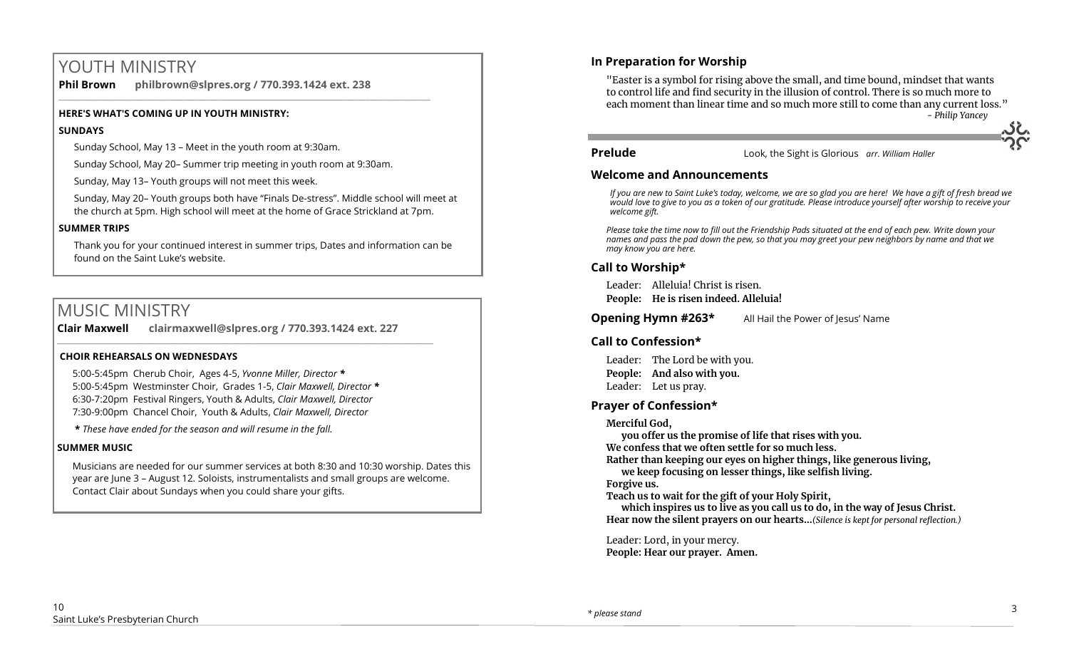# YOUTH MINISTRY

**Phil Brown philbrown@slpres.org / 770.393.1424 ext. 238**  \_\_\_\_\_\_\_\_\_\_\_\_\_\_\_\_\_\_\_\_\_\_\_\_\_\_\_\_\_\_\_\_\_\_\_\_\_\_\_\_\_\_\_\_\_\_\_\_\_\_\_\_\_\_\_\_\_\_\_\_\_\_\_\_\_\_\_\_\_\_\_\_\_\_\_\_\_\_\_\_\_\_\_\_\_\_\_

#### **HERE'S WHAT'S COMING UP IN YOUTH MINISTRY:**

#### **SUNDAYS**

Sunday School, May 13 – Meet in the youth room at 9:30am.

Sunday School, May 20– Summer trip meeting in youth room at 9:30am.

Sunday, May 13– Youth groups will not meet this week.

Sunday, May 20– Youth groups both have "Finals De-stress". Middle school will meet at the church at 5pm. High school will meet at the home of Grace Strickland at 7pm.

#### **SUMMER TRIPS**

Thank you for your continued interest in summer trips, Dates and information can be found on the Saint Luke's website.

# MUSIC MINISTRY

**Clair Maxwell clairmaxwell@slpres.org / 770.393.1424 ext. 227**  \_\_\_\_\_\_\_\_\_\_\_\_\_\_\_\_\_\_\_\_\_\_\_\_\_\_\_\_\_\_\_\_\_\_\_\_\_\_\_\_\_\_\_\_\_\_\_\_\_\_\_\_\_\_\_\_\_\_\_\_\_\_\_\_\_\_\_\_\_\_\_\_\_\_\_\_\_\_\_\_\_\_\_\_\_\_\_\_

#### **CHOIR REHEARSALS ON WEDNESDAYS**

5:00-5:45pm Cherub Choir, Ages 4-5, *Yvonne Miller, Director \** 5:00-5:45pm Westminster Choir, Grades 1-5, *Clair Maxwell, Director \**  6:30-7:20pm Festival Ringers, Youth & Adults, *Clair Maxwell, Director*  7:30-9:00pm Chancel Choir, Youth & Adults, *Clair Maxwell, Director* 

**\*** *These have ended for the season and will resume in the fall.*

#### **SUMMER MUSIC**

Musicians are needed for our summer services at both 8:30 and 10:30 worship. Dates this year are June 3 – August 12. Soloists, instrumentalists and small groups are welcome. Contact Clair about Sundays when you could share your gifts.

# **In Preparation for Worship**

"Easter is a symbol for rising above the small, and time bound, mindset that wants to control life and find security in the illusion of control. There is so much more to each moment than linear time and so much more still to come than any current loss." *- Philip Yancey*

**Prelude** Look, the Sight is Glorious *arr. William Haller*

## **Welcome and Announcements**

*If you are new to Saint Luke's today, welcome, we are so glad you are here! We have a gift of fresh bread we would love to give to you as a token of our gratitude. Please introduce yourself after worship to receive your welcome gift.*

*Please take the time now to fill out the Friendship Pads situated at the end of each pew. Write down your names and pass the pad down the pew, so that you may greet your pew neighbors by name and that we may know you are here.*

# **Call to Worship\***

Leader: Alleluia! Christ is risen. **People: He is risen indeed. Alleluia!**

**Opening Hymn #263\*** All Hail the Power of Jesus' Name

# **Call to Confession\***

Leader: The Lord be with you. **People: And also with you.** Leader: Let us pray.

# **Prayer of Confession\***

**Merciful God,** 

**you offer us the promise of life that rises with you. We confess that we often settle for so much less. Rather than keeping our eyes on higher things, like generous living,**

**we keep focusing on lesser things, like selfish living.**

**Forgive us.**

**Teach us to wait for the gift of your Holy Spirit,**

**which inspires us to live as you call us to do, in the way of Jesus Christ. Hear now the silent prayers on our hearts...***(Silence is kept for personal reflection.)*

Leader: Lord, in your mercy. **People: Hear our prayer. Amen.**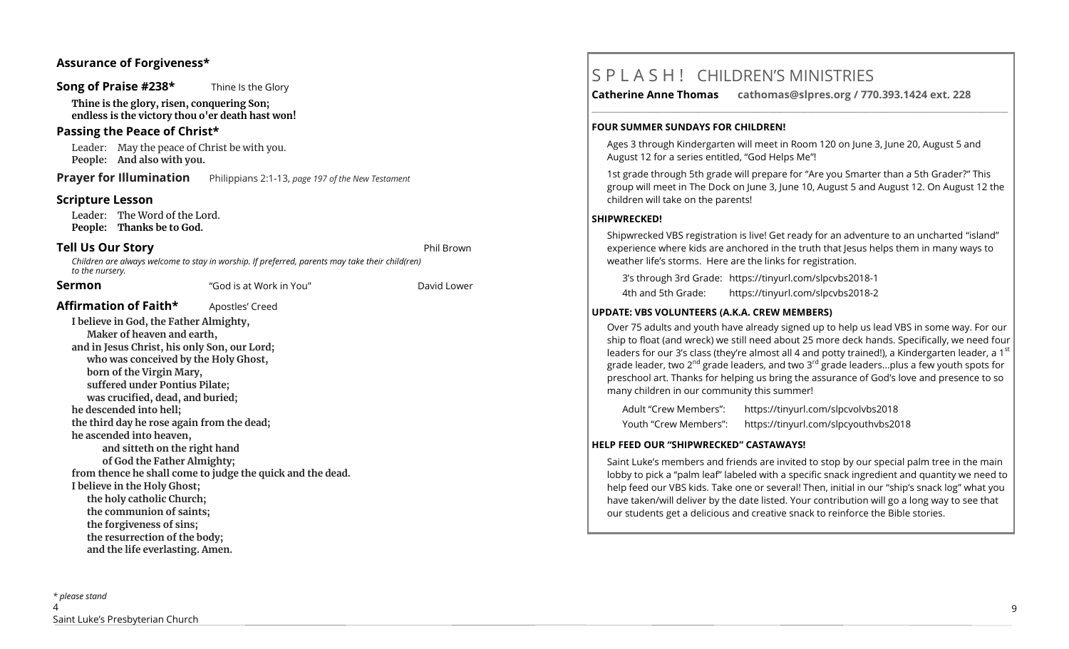# **Assurance of Forgiveness\***

#### **Song of Praise #238\*** Thine Is the Glory

**Thine is the glory, risen, conquering Son; endless is the victory thou o'er death hast won!**

## **Passing the Peace of Christ\***

Leader: May the peace of Christ be with you. **People: And also with you.** 

**Prayer for Illumination** Philippians 2:1-13, *page 197 of the New Testament* 

## **Scripture Lesson**

Leader: The Word of the Lord. **People: Thanks be to God.**

# **Tell Us Our Story and Struck and Struck and Struck and Struck and Phil Brown**

*Children are always welcome to stay in worship. If preferred, parents may take their child(ren) to the nursery.*

#### **Sermon** "God is at Work in You" David Lower

Affirmation of Faith\* **Apostles'** Creed

**I believe in God, the Father Almighty, Maker of heaven and earth, and in Jesus Christ, his only Son, our Lord; who was conceived by the Holy Ghost, born of the Virgin Mary, suffered under Pontius Pilate; was crucified, dead, and buried; he descended into hell; the third day he rose again from the dead; he ascended into heaven, and sitteth on the right hand of God the Father Almighty; from thence he shall come to judge the quick and the dead. I believe in the Holy Ghost; the holy catholic Church; the communion of saints; the forgiveness of sins; the resurrection of the body; and the life everlasting. Amen.**

# S P L A S H ! CHILDREN'S MINISTRIES

**Catherine Anne Thomas cathomas@slpres.org / 770.393.1424 ext. 228** 

#### **FOUR SUMMER SUNDAYS FOR CHILDREN!**

Ages 3 through Kindergarten will meet in Room 120 on June 3, June 20, August 5 and August 12 for a series entitled, "God Helps Me"!

**\_\_\_\_\_\_\_\_\_\_\_\_\_\_\_\_\_\_\_\_\_\_\_\_\_\_\_\_\_\_\_\_\_\_\_\_\_\_\_\_\_\_\_\_\_\_\_\_\_\_\_\_\_\_\_\_\_\_\_\_\_\_\_\_\_\_\_\_\_\_\_\_\_\_\_\_\_\_\_\_\_\_\_\_\_\_\_\_\_\_\_\_\_\_\_\_\_\_\_\_\_\_\_\_\_\_** 

1st grade through 5th grade will prepare for "Are you Smarter than a 5th Grader?" This group will meet in The Dock on June 3, June 10, August 5 and August 12. On August 12 the children will take on the parents!

#### **SHIPWRECKED!**

Shipwrecked VBS registration is live! Get ready for an adventure to an uncharted "island" experience where kids are anchored in the truth that Jesus helps them in many ways to weather life's storms. Here are the links for registration.

3's through 3rd Grade: https://tinyurl.com/slpcvbs2018-1

4th and 5th Grade: https://tinyurl.com/slpcvbs2018-2

#### **UPDATE: VBS VOLUNTEERS (A.K.A. CREW MEMBERS)**

Over 75 adults and youth have already signed up to help us lead VBS in some way. For our ship to float (and wreck) we still need about 25 more deck hands. Specifically, we need four leaders for our 3's class (they're almost all 4 and potty trained!), a Kindergarten leader, a 1st grade leader, two 2<sup>nd</sup> grade leaders, and two 3<sup>rd</sup> grade leaders...plus a few youth spots for preschool art. Thanks for helping us bring the assurance of God's love and presence to so many children in our community this summer!

Adult "Crew Members": https://tinyurl.com/slpcvolvbs2018 Youth "Crew Members": https://tinyurl.com/slpcyouthvbs2018

#### **HELP FEED OUR "SHIPWRECKED" CASTAWAYS!**

Saint Luke's members and friends are invited to stop by our special palm tree in the main lobby to pick a "palm leaf" labeled with a specific snack ingredient and quantity we need to help feed our VBS kids. Take one or several! Then, initial in our "ship's snack log" what you have taken/will deliver by the date listed. Your contribution will go a long way to see that our students get a delicious and creative snack to reinforce the Bible stories.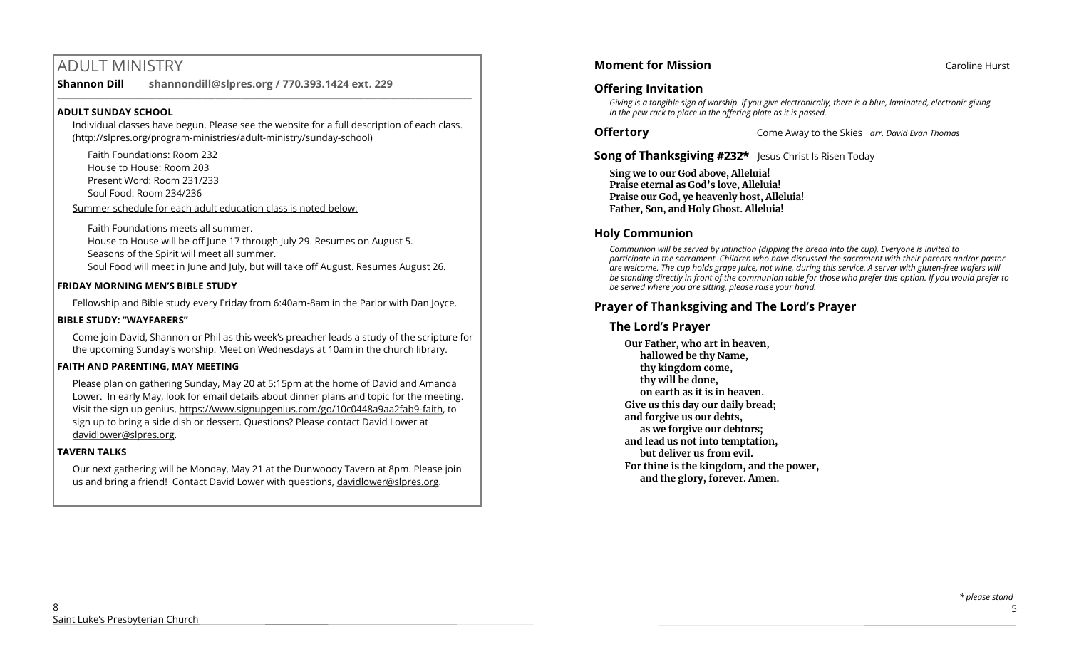# ADULT MINISTRY

**Shannon Dill shannondill@slpres.org / 770.393.1424 ext. 229** 

#### **ADULT SUNDAY SCHOOL**

Individual classes have begun. Please see the website for a full description of each class. (http://slpres.org/program-ministries/adult-ministry/sunday-school)

 $\_$  ,  $\_$  ,  $\_$  ,  $\_$  ,  $\_$  ,  $\_$  ,  $\_$  ,  $\_$  ,  $\_$  ,  $\_$  ,  $\_$  ,  $\_$  ,  $\_$  ,  $\_$  ,  $\_$  ,  $\_$  ,  $\_$  ,  $\_$  ,  $\_$ 

Faith Foundations: Room 232 House to House: Room 203 Present Word: Room 231/233

Soul Food: Room 234/236

Summer schedule for each adult education class is noted below:

Faith Foundations meets all summer.

House to House will be off June 17 through July 29. Resumes on August 5.

Seasons of the Spirit will meet all summer.

Soul Food will meet in June and July, but will take off August. Resumes August 26.

# **FRIDAY MORNING MEN'S BIBLE STUDY**

Fellowship and Bible study every Friday from 6:40am-8am in the Parlor with Dan Joyce.

## **BIBLE STUDY: "WAYFARERS"**

Come join David, Shannon or Phil as this week's preacher leads a study of the scripture for the upcoming Sunday's worship. Meet on Wednesdays at 10am in the church library.

# **FAITH AND PARENTING, MAY MEETING**

Please plan on gathering Sunday, May 20 at 5:15pm at the home of David and Amanda Lower. In early May, look for email details about dinner plans and topic for the meeting. Visit the sign up genius, https://www.signupgenius.com/go/10c0448a9aa2fab9-faith, to sign up to bring a side dish or dessert. Questions? Please contact David Lower at davidlower@slpres.org.

# **TAVERN TALKS**

Our next gathering will be Monday, May 21 at the Dunwoody Tavern at 8pm. Please join us and bring a friend! Contact David Lower with questions, davidlower@slpres.org.

# **Offering Invitation**

*Giving is a tangible sign of worship. If you give electronically, there is a blue, laminated, electronic giving in the pew rack to place in the offering plate as it is passed.*

**Offertory** Come Away to the Skies *arr. David Evan Thomas*

# **Song of Thanksgiving #232\*** Jesus Christ Is Risen Today

**Sing we to our God above, Alleluia! Praise eternal as God's love, Alleluia! Praise our God, ye heavenly host, Alleluia! Father, Son, and Holy Ghost. Alleluia!**

# **Holy Communion**

*Communion will be served by intinction (dipping the bread into the cup). Everyone is invited to participate in the sacrament. Children who have discussed the sacrament with their parents and/or pastor are welcome. The cup holds grape juice, not wine, during this service. A server with gluten-free wafers will be standing directly in front of the communion table for those who prefer this option. If you would prefer to be served where you are sitting, please raise your hand.* 

# **Prayer of Thanksgiving and The Lord's Prayer**

# **The Lord's Prayer**

**Our Father, who art in heaven, hallowed be thy Name, thy kingdom come, thy will be done, on earth as it is in heaven. Give us this day our daily bread; and forgive us our debts, as we forgive our debtors; and lead us not into temptation, but deliver us from evil. For thine is the kingdom, and the power, and the glory, forever. Amen.**